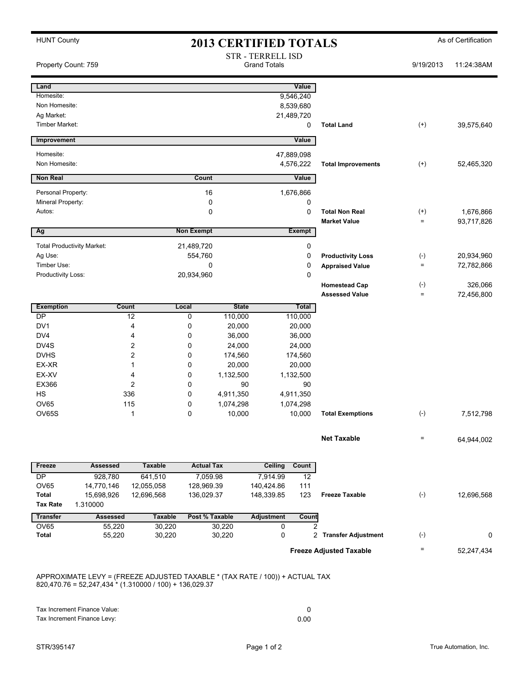| <b>HUNT County</b><br><b>2013 CERTIFIED TOTALS</b> |                       |                                                                              |                                                 |                   |                        |                |                                | As of Certification                        |            |
|----------------------------------------------------|-----------------------|------------------------------------------------------------------------------|-------------------------------------------------|-------------------|------------------------|----------------|--------------------------------|--------------------------------------------|------------|
| Property Count: 759                                |                       |                                                                              | <b>STR - TERRELL ISD</b><br><b>Grand Totals</b> |                   |                        |                |                                | 9/19/2013                                  | 11:24:38AM |
| Land                                               |                       |                                                                              |                                                 |                   |                        | Value          |                                |                                            |            |
| Homesite:                                          |                       |                                                                              |                                                 |                   |                        | 9,546,240      |                                |                                            |            |
| Non Homesite:                                      |                       |                                                                              |                                                 |                   |                        | 8,539,680      |                                |                                            |            |
| Ag Market:                                         |                       |                                                                              |                                                 |                   |                        | 21,489,720     |                                |                                            |            |
| Timber Market:                                     |                       |                                                                              |                                                 |                   |                        | 0              | <b>Total Land</b>              | $^{(+)}$                                   | 39,575,640 |
| Improvement                                        |                       |                                                                              |                                                 |                   |                        | Value          |                                |                                            |            |
| Homesite:                                          |                       |                                                                              |                                                 |                   |                        | 47,889,098     |                                |                                            |            |
| Non Homesite:                                      |                       |                                                                              |                                                 |                   |                        | 4,576,222      | <b>Total Improvements</b>      | $^{(+)}$                                   | 52,465,320 |
| <b>Non Real</b>                                    |                       |                                                                              | Count                                           |                   |                        | Value          |                                |                                            |            |
| Personal Property:                                 |                       |                                                                              | 16                                              |                   |                        | 1,676,866      |                                |                                            |            |
| Mineral Property:                                  |                       |                                                                              | 0                                               |                   |                        | 0              |                                |                                            |            |
| Autos:                                             |                       |                                                                              | 0                                               |                   | 0                      |                | <b>Total Non Real</b>          | $^{(+)}$                                   | 1,676,866  |
| Ag                                                 |                       |                                                                              | <b>Non Exempt</b>                               |                   |                        | <b>Exempt</b>  | <b>Market Value</b>            | $\equiv$                                   | 93,717,826 |
|                                                    |                       |                                                                              |                                                 |                   |                        |                |                                |                                            |            |
| <b>Total Productivity Market:</b>                  |                       |                                                                              | 21,489,720                                      |                   |                        | 0              |                                |                                            |            |
| Ag Use:<br>Timber Use:                             |                       |                                                                              | 554,760                                         |                   |                        | 0              | <b>Productivity Loss</b>       | $(\text{-})$<br>$\quad \  \, =\quad \  \,$ | 20,934,960 |
| Productivity Loss:                                 |                       |                                                                              | 0<br>20,934,960                                 |                   |                        | 0<br>0         | <b>Appraised Value</b>         |                                            | 72,782,866 |
|                                                    |                       |                                                                              |                                                 |                   |                        |                | <b>Homestead Cap</b>           | $(\cdot)$                                  | 326,066    |
|                                                    |                       |                                                                              |                                                 |                   |                        |                | <b>Assessed Value</b>          | $\equiv$                                   | 72,456,800 |
| <b>Exemption</b>                                   | <b>Count</b>          |                                                                              | Local                                           | <b>State</b>      |                        | Total          |                                |                                            |            |
| $\overline{DP}$                                    |                       | 12                                                                           | 0                                               | 110,000           | 110,000                |                |                                |                                            |            |
| DV <sub>1</sub>                                    |                       | 4                                                                            | 0                                               | 20,000            | 20,000                 |                |                                |                                            |            |
| DV4                                                |                       | 4                                                                            | 0                                               | 36,000            | 36,000                 |                |                                |                                            |            |
| DV4S<br><b>DVHS</b>                                |                       | 2                                                                            | 0<br>0                                          | 24,000<br>174,560 | 24,000<br>174,560      |                |                                |                                            |            |
| EX-XR                                              | $\overline{c}$<br>1   |                                                                              | 0                                               |                   | 20,000<br>20,000       |                |                                |                                            |            |
| EX-XV                                              |                       | 4                                                                            | 0                                               | 1,132,500         | 1,132,500              |                |                                |                                            |            |
| EX366                                              |                       | 2                                                                            | 0                                               |                   | 90<br>90               |                |                                |                                            |            |
| <b>HS</b>                                          |                       | 336                                                                          | $\mathbf 0$                                     | 4,911,350         | 4,911,350              |                |                                |                                            |            |
| <b>OV65</b>                                        |                       | 115                                                                          | 0                                               | 1,074,298         | 1,074,298              |                |                                |                                            |            |
| OV65S                                              |                       | 1                                                                            | $\mathbf 0$                                     | 10,000            | 10,000                 |                | <b>Total Exemptions</b>        | $(-)$                                      | 7,512,798  |
|                                                    |                       |                                                                              |                                                 |                   |                        |                | <b>Net Taxable</b>             | $\qquad \qquad =\qquad \qquad$             | 64,944,002 |
|                                                    |                       |                                                                              |                                                 |                   |                        |                |                                |                                            |            |
| Freeze                                             | <b>Assessed</b>       | <b>Taxable</b>                                                               | <b>Actual Tax</b>                               |                   | <b>Ceiling</b>         | Count          |                                |                                            |            |
| <b>DP</b><br>OV65                                  | 928,780<br>14,770,146 | 641,510<br>12,055,058                                                        | 7,059.98<br>128,969.39                          |                   | 7,914.99<br>140,424.86 | 12<br>111      |                                |                                            |            |
| <b>Total</b>                                       | 15,698,926            | 12,696,568                                                                   | 136,029.37                                      |                   | 148,339.85             | 123            | <b>Freeze Taxable</b>          | $(-)$                                      | 12,696,568 |
| <b>Tax Rate</b>                                    | 1.310000              |                                                                              |                                                 |                   |                        |                |                                |                                            |            |
| <b>Transfer</b>                                    | Assessed              | <b>Taxable</b>                                                               | Post % Taxable                                  |                   | <b>Adjustment</b>      | Count          |                                |                                            |            |
| <b>OV65</b>                                        | 55,220                | 30,220                                                                       |                                                 | 30,220            | 0                      | $\overline{2}$ |                                |                                            |            |
| <b>Total</b>                                       | 55,220                | 30,220                                                                       |                                                 | 30,220            | 0                      |                | 2 Transfer Adjustment          | $(-)$                                      | 0          |
|                                                    |                       |                                                                              |                                                 |                   |                        |                | <b>Freeze Adjusted Taxable</b> | =                                          | 52,247,434 |
|                                                    |                       |                                                                              |                                                 |                   |                        |                |                                |                                            |            |
|                                                    |                       | APPROXIMATE LEVY = (FREEZE ADJUSTED TAXABLE * (TAX RATE / 100)) + ACTUAL TAX |                                                 |                   |                        |                |                                |                                            |            |

820,470.76 = 52,247,434 \* (1.310000 / 100) + 136,029.37

| Tax Increment Finance Value: |      |
|------------------------------|------|
| Tax Increment Finance Levy:  | 0.00 |